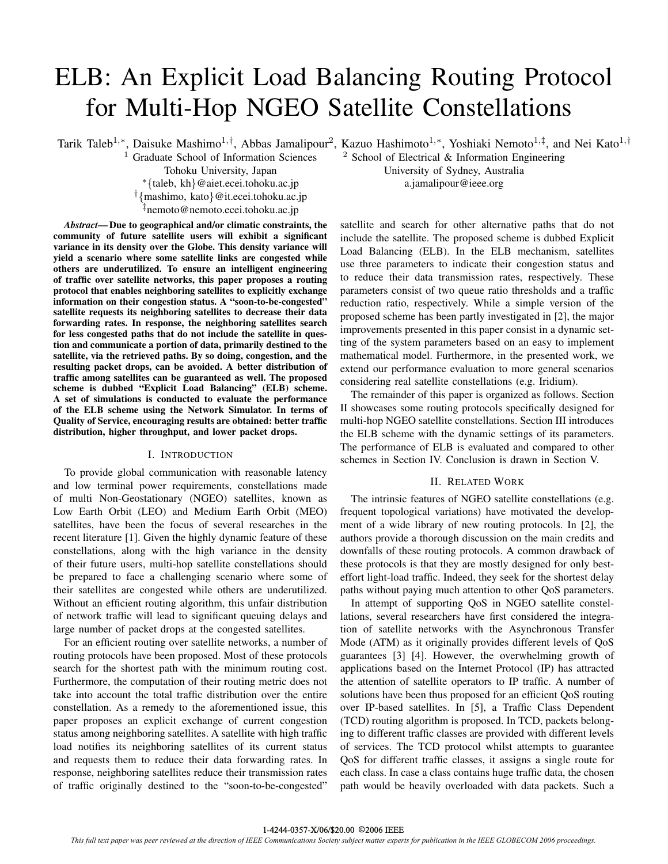# ELB: An Explicit Load Balancing Routing Protocol for Multi-Hop NGEO Satellite Constellations

<sup>1</sup> Graduate School of Information Sciences  $\frac{2 \text{ School of Electrical } \& \text{ Information Engineering}}{2 \cdot \text{ School of Electrical } \& \text{ Information Engineering}}$ Tohoku University, Japan University of Sydney, Australia ∗{taleb, kh}@aiet.ecei.tohoku.ac.jp a.jamalipour@ieee.org †{mashimo, kato}@it.ecei.tohoku.ac.jp ‡nemoto@nemoto.ecei.tohoku.ac.jp

*Abstract***— Due to geographical and/or climatic constraints, the community of future satellite users will exhibit a significant variance in its density over the Globe. This density variance will yield a scenario where some satellite links are congested while others are underutilized. To ensure an intelligent engineering of traffic over satellite networks, this paper proposes a routing protocol that enables neighboring satellites to explicitly exchange information on their congestion status. A "soon-to-be-congested" satellite requests its neighboring satellites to decrease their data forwarding rates. In response, the neighboring satellites search for less congested paths that do not include the satellite in question and communicate a portion of data, primarily destined to the satellite, via the retrieved paths. By so doing, congestion, and the resulting packet drops, can be avoided. A better distribution of traffic among satellites can be guaranteed as well. The proposed scheme is dubbed "Explicit Load Balancing" (ELB) scheme. A set of simulations is conducted to evaluate the performance of the ELB scheme using the Network Simulator. In terms of Quality of Service, encouraging results are obtained: better traffic distribution, higher throughput, and lower packet drops.**

# I. INTRODUCTION

To provide global communication with reasonable latency and low terminal power requirements, constellations made of multi Non-Geostationary (NGEO) satellites, known as Low Earth Orbit (LEO) and Medium Earth Orbit (MEO) satellites, have been the focus of several researches in the recent literature [1]. Given the highly dynamic feature of these constellations, along with the high variance in the density of their future users, multi-hop satellite constellations should be prepared to face a challenging scenario where some of their satellites are congested while others are underutilized. Without an efficient routing algorithm, this unfair distribution of network traffic will lead to significant queuing delays and large number of packet drops at the congested satellites.

For an efficient routing over satellite networks, a number of routing protocols have been proposed. Most of these protocols search for the shortest path with the minimum routing cost. Furthermore, the computation of their routing metric does not take into account the total traffic distribution over the entire constellation. As a remedy to the aforementioned issue, this paper proposes an explicit exchange of current congestion status among neighboring satellites. A satellite with high traffic load notifies its neighboring satellites of its current status and requests them to reduce their data forwarding rates. In response, neighboring satellites reduce their transmission rates of traffic originally destined to the "soon-to-be-congested"

Tarik Taleb<sup>1,∗</sup>, Daisuke Mashimo<sup>1,†</sup>, Abbas Jamalipour<sup>2</sup>, Kazuo Hashimoto<sup>1,∗</sup>, Yoshiaki Nemoto<sup>1,‡</sup>, and Nei Kato<sup>1,†</sup>

satellite and search for other alternative paths that do not include the satellite. The proposed scheme is dubbed Explicit Load Balancing (ELB). In the ELB mechanism, satellites use three parameters to indicate their congestion status and to reduce their data transmission rates, respectively. These parameters consist of two queue ratio thresholds and a traffic reduction ratio, respectively. While a simple version of the proposed scheme has been partly investigated in [2], the major improvements presented in this paper consist in a dynamic setting of the system parameters based on an easy to implement mathematical model. Furthermore, in the presented work, we extend our performance evaluation to more general scenarios considering real satellite constellations (e.g. Iridium).

The remainder of this paper is organized as follows. Section II showcases some routing protocols specifically designed for multi-hop NGEO satellite constellations. Section III introduces the ELB scheme with the dynamic settings of its parameters. The performance of ELB is evaluated and compared to other schemes in Section IV. Conclusion is drawn in Section V.

# II. RELATED WORK

The intrinsic features of NGEO satellite constellations (e.g. frequent topological variations) have motivated the development of a wide library of new routing protocols. In [2], the authors provide a thorough discussion on the main credits and downfalls of these routing protocols. A common drawback of these protocols is that they are mostly designed for only besteffort light-load traffic. Indeed, they seek for the shortest delay paths without paying much attention to other QoS parameters.

In attempt of supporting QoS in NGEO satellite constellations, several researchers have first considered the integration of satellite networks with the Asynchronous Transfer Mode (ATM) as it originally provides different levels of QoS guarantees [3] [4]. However, the overwhelming growth of applications based on the Internet Protocol (IP) has attracted the attention of satellite operators to IP traffic. A number of solutions have been thus proposed for an efficient QoS routing over IP-based satellites. In [5], a Traffic Class Dependent (TCD) routing algorithm is proposed. In TCD, packets belonging to different traffic classes are provided with different levels of services. The TCD protocol whilst attempts to guarantee QoS for different traffic classes, it assigns a single route for each class. In case a class contains huge traffic data, the chosen path would be heavily overloaded with data packets. Such a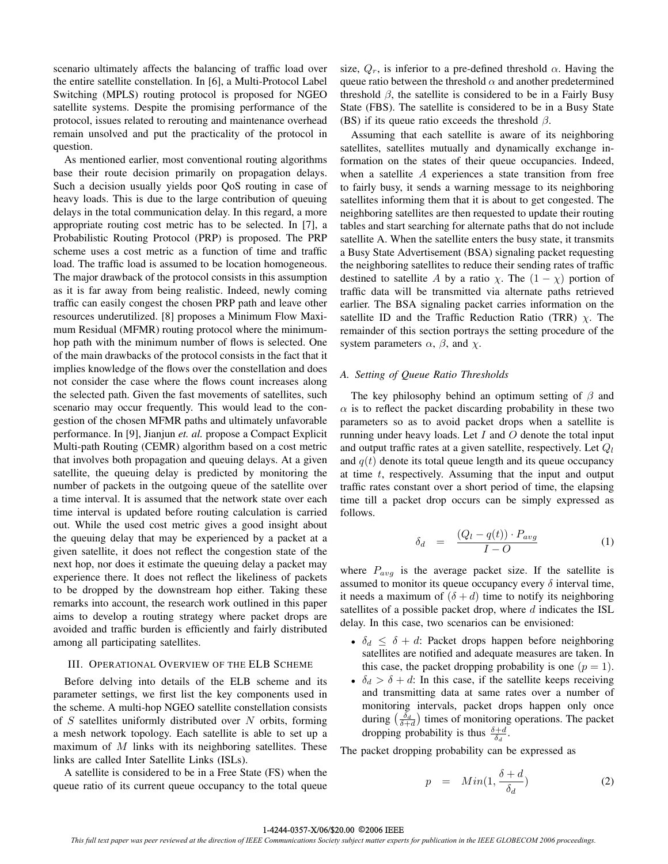scenario ultimately affects the balancing of traffic load over the entire satellite constellation. In [6], a Multi-Protocol Label Switching (MPLS) routing protocol is proposed for NGEO satellite systems. Despite the promising performance of the protocol, issues related to rerouting and maintenance overhead remain unsolved and put the practicality of the protocol in question.

As mentioned earlier, most conventional routing algorithms base their route decision primarily on propagation delays. Such a decision usually yields poor QoS routing in case of heavy loads. This is due to the large contribution of queuing delays in the total communication delay. In this regard, a more appropriate routing cost metric has to be selected. In [7], a Probabilistic Routing Protocol (PRP) is proposed. The PRP scheme uses a cost metric as a function of time and traffic load. The traffic load is assumed to be location homogeneous. The major drawback of the protocol consists in this assumption as it is far away from being realistic. Indeed, newly coming traffic can easily congest the chosen PRP path and leave other resources underutilized. [8] proposes a Minimum Flow Maximum Residual (MFMR) routing protocol where the minimumhop path with the minimum number of flows is selected. One of the main drawbacks of the protocol consists in the fact that it implies knowledge of the flows over the constellation and does not consider the case where the flows count increases along the selected path. Given the fast movements of satellites, such scenario may occur frequently. This would lead to the congestion of the chosen MFMR paths and ultimately unfavorable performance. In [9], Jianjun *et. al.* propose a Compact Explicit Multi-path Routing (CEMR) algorithm based on a cost metric that involves both propagation and queuing delays. At a given satellite, the queuing delay is predicted by monitoring the number of packets in the outgoing queue of the satellite over a time interval. It is assumed that the network state over each time interval is updated before routing calculation is carried out. While the used cost metric gives a good insight about the queuing delay that may be experienced by a packet at a given satellite, it does not reflect the congestion state of the next hop, nor does it estimate the queuing delay a packet may experience there. It does not reflect the likeliness of packets to be dropped by the downstream hop either. Taking these remarks into account, the research work outlined in this paper aims to develop a routing strategy where packet drops are avoided and traffic burden is efficiently and fairly distributed among all participating satellites.

# III. OPERATIONAL OVERVIEW OF THE ELB SCHEME

Before delving into details of the ELB scheme and its parameter settings, we first list the key components used in the scheme. A multi-hop NGEO satellite constellation consists of  $S$  satellites uniformly distributed over  $N$  orbits, forming a mesh network topology. Each satellite is able to set up a maximum of  $M$  links with its neighboring satellites. These links are called Inter Satellite Links (ISLs).

A satellite is considered to be in a Free State (FS) when the queue ratio of its current queue occupancy to the total queue size,  $Q_r$ , is inferior to a pre-defined threshold  $\alpha$ . Having the queue ratio between the threshold  $\alpha$  and another predetermined threshold  $\beta$ , the satellite is considered to be in a Fairly Busy State (FBS). The satellite is considered to be in a Busy State (BS) if its queue ratio exceeds the threshold  $\beta$ .

Assuming that each satellite is aware of its neighboring satellites, satellites mutually and dynamically exchange information on the states of their queue occupancies. Indeed, when a satellite  $A$  experiences a state transition from free to fairly busy, it sends a warning message to its neighboring satellites informing them that it is about to get congested. The neighboring satellites are then requested to update their routing tables and start searching for alternate paths that do not include satellite A. When the satellite enters the busy state, it transmits a Busy State Advertisement (BSA) signaling packet requesting the neighboring satellites to reduce their sending rates of traffic destined to satellite A by a ratio  $\chi$ . The  $(1 - \chi)$  portion of traffic data will be transmitted via alternate paths retrieved earlier. The BSA signaling packet carries information on the satellite ID and the Traffic Reduction Ratio (TRR)  $\chi$ . The remainder of this section portrays the setting procedure of the system parameters  $\alpha$ ,  $\beta$ , and  $\gamma$ .

# *A. Setting of Queue Ratio Thresholds*

The key philosophy behind an optimum setting of  $\beta$  and  $\alpha$  is to reflect the packet discarding probability in these two parameters so as to avoid packet drops when a satellite is running under heavy loads. Let  $I$  and  $O$  denote the total input and output traffic rates at a given satellite, respectively. Let  $Q_l$ and  $q(t)$  denote its total queue length and its queue occupancy at time  $t$ , respectively. Assuming that the input and output traffic rates constant over a short period of time, the elapsing time till a packet drop occurs can be simply expressed as follows.

$$
\delta_d = \frac{(Q_l - q(t)) \cdot P_{avg}}{I - O} \tag{1}
$$

where  $P_{avg}$  is the average packet size. If the satellite is assumed to monitor its queue occupancy every  $\delta$  interval time, it needs a maximum of  $(\delta + d)$  time to notify its neighboring satellites of a possible packet drop, where  $d$  indicates the ISL delay. In this case, two scenarios can be envisioned:

- $\delta_d \leq \delta + d$ : Packet drops happen before neighboring satellites are notified and adequate measures are taken. In this case, the packet dropping probability is one  $(p = 1)$ .
- $\delta_d > \delta + d$ : In this case, if the satellite keeps receiving and transmitting data at same rates over a number of monitoring intervals, packet drops happen only once during  $\left(\frac{\delta_d}{\delta + d}\right)$  times of monitoring operations. The packet dropping probability is thus  $\frac{\delta+d}{\delta_d}$ .

The packet dropping probability can be expressed as

$$
p = Min(1, \frac{\delta + d}{\delta_d}) \tag{2}
$$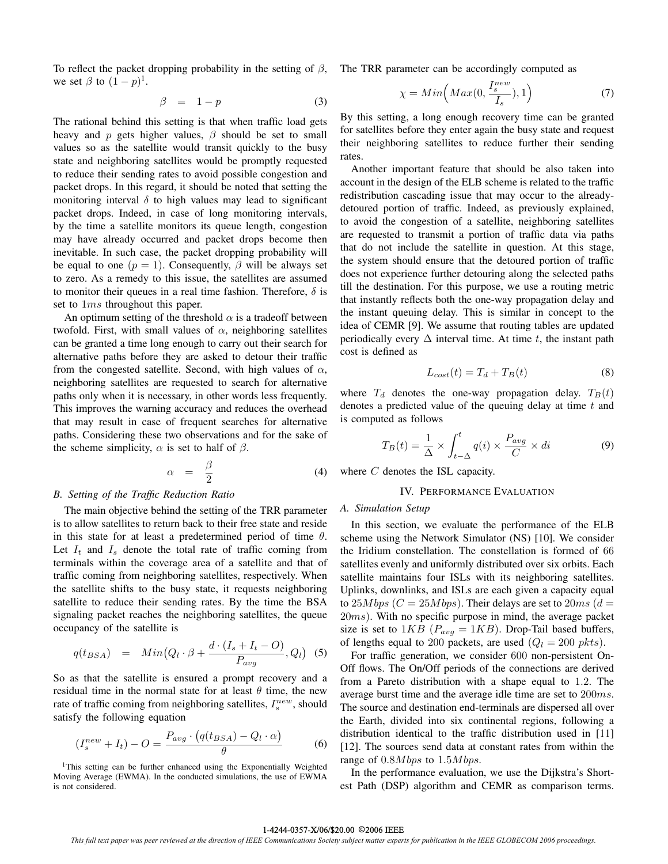To reflect the packet dropping probability in the setting of  $\beta$ , we set  $\beta$  to  $(1-p)^{1}$ .

$$
\beta = 1 - p \tag{3}
$$

The rational behind this setting is that when traffic load gets heavy and p gets higher values,  $\beta$  should be set to small values so as the satellite would transit quickly to the busy state and neighboring satellites would be promptly requested to reduce their sending rates to avoid possible congestion and packet drops. In this regard, it should be noted that setting the monitoring interval  $\delta$  to high values may lead to significant packet drops. Indeed, in case of long monitoring intervals, by the time a satellite monitors its queue length, congestion may have already occurred and packet drops become then inevitable. In such case, the packet dropping probability will be equal to one  $(p = 1)$ . Consequently,  $\beta$  will be always set to zero. As a remedy to this issue, the satellites are assumed to monitor their queues in a real time fashion. Therefore,  $\delta$  is set to  $1ms$  throughout this paper.

An optimum setting of the threshold  $\alpha$  is a tradeoff between twofold. First, with small values of  $\alpha$ , neighboring satellites can be granted a time long enough to carry out their search for alternative paths before they are asked to detour their traffic from the congested satellite. Second, with high values of  $\alpha$ , neighboring satellites are requested to search for alternative paths only when it is necessary, in other words less frequently. This improves the warning accuracy and reduces the overhead that may result in case of frequent searches for alternative paths. Considering these two observations and for the sake of the scheme simplicity,  $\alpha$  is set to half of  $\beta$ .

$$
\alpha = \frac{\beta}{2} \tag{4}
$$

## *B. Setting of the Traffic Reduction Ratio*

The main objective behind the setting of the TRR parameter is to allow satellites to return back to their free state and reside in this state for at least a predetermined period of time  $\theta$ . Let  $I_t$  and  $I_s$  denote the total rate of traffic coming from terminals within the coverage area of a satellite and that of traffic coming from neighboring satellites, respectively. When the satellite shifts to the busy state, it requests neighboring satellite to reduce their sending rates. By the time the BSA signaling packet reaches the neighboring satellites, the queue occupancy of the satellite is

$$
q(t_{BSA}) = Min(Q_l \cdot \beta + \frac{d \cdot (I_s + I_t - O)}{P_{avg}}, Q_l)
$$
 (5)

So as that the satellite is ensured a prompt recovery and a residual time in the normal state for at least  $\theta$  time, the new rate of traffic coming from neighboring satellites,  $I_s^{new}$ , should satisfy the following equation

$$
(I_s^{new} + I_t) - O = \frac{P_{avg} \cdot (q(t_{BSA}) - Q_l \cdot \alpha)}{\theta} \tag{6}
$$

<sup>1</sup>This setting can be further enhanced using the Exponentially Weighted Moving Average (EWMA). In the conducted simulations, the use of EWMA is not considered.

The TRR parameter can be accordingly computed as

$$
\chi = Min\left(Max(0, \frac{I_s^{new}}{I_s}), 1\right) \tag{7}
$$

By this setting, a long enough recovery time can be granted for satellites before they enter again the busy state and request their neighboring satellites to reduce further their sending rates.

Another important feature that should be also taken into account in the design of the ELB scheme is related to the traffic redistribution cascading issue that may occur to the alreadydetoured portion of traffic. Indeed, as previously explained, to avoid the congestion of a satellite, neighboring satellites are requested to transmit a portion of traffic data via paths that do not include the satellite in question. At this stage, the system should ensure that the detoured portion of traffic does not experience further detouring along the selected paths till the destination. For this purpose, we use a routing metric that instantly reflects both the one-way propagation delay and the instant queuing delay. This is similar in concept to the idea of CEMR [9]. We assume that routing tables are updated periodically every  $\Delta$  interval time. At time t, the instant path cost is defined as

$$
L_{cost}(t) = T_d + T_B(t)
$$
\n(8)

where  $T_d$  denotes the one-way propagation delay.  $T_B(t)$ denotes a predicted value of the queuing delay at time  $t$  and is computed as follows

$$
T_B(t) = \frac{1}{\Delta} \times \int_{t-\Delta}^t q(i) \times \frac{P_{avg}}{C} \times di \tag{9}
$$

where C denotes the ISL capacity.

## IV. PERFORMANCE EVALUATION

## *A. Simulation Setup*

In this section, we evaluate the performance of the ELB scheme using the Network Simulator (NS) [10]. We consider the Iridium constellation. The constellation is formed of 66 satellites evenly and uniformly distributed over six orbits. Each satellite maintains four ISLs with its neighboring satellites. Uplinks, downlinks, and ISLs are each given a capacity equal to  $25Mbps$  ( $C = 25Mbps$ ). Their delays are set to  $20ms$  ( $d =$ 20ms). With no specific purpose in mind, the average packet size is set to  $1KB$  ( $P_{avg} = 1KB$ ). Drop-Tail based buffers, of lengths equal to 200 packets, are used  $(Q_l = 200 \, \text{pkts})$ .

For traffic generation, we consider 600 non-persistent On-Off flows. The On/Off periods of the connections are derived from a Pareto distribution with a shape equal to 1.2. The average burst time and the average idle time are set to 200ms. The source and destination end-terminals are dispersed all over the Earth, divided into six continental regions, following a distribution identical to the traffic distribution used in [11] [12]. The sources send data at constant rates from within the range of  $0.8Mbps$  to  $1.5Mbps$ .

In the performance evaluation, we use the Dijkstra's Shortest Path (DSP) algorithm and CEMR as comparison terms.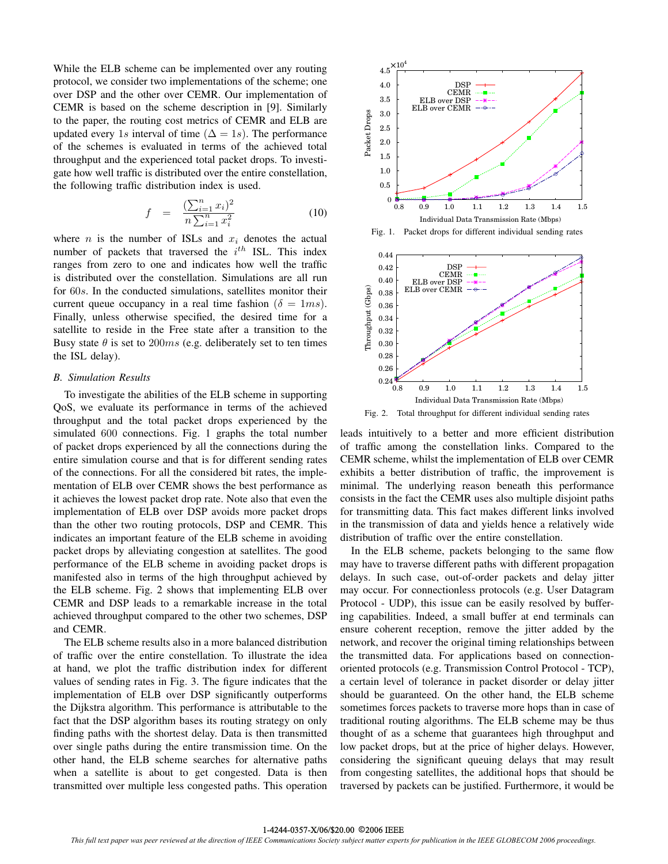While the ELB scheme can be implemented over any routing protocol, we consider two implementations of the scheme; one over DSP and the other over CEMR. Our implementation of CEMR is based on the scheme description in [9]. Similarly to the paper, the routing cost metrics of CEMR and ELB are updated every 1s interval of time ( $\Delta = 1s$ ). The performance of the schemes is evaluated in terms of the achieved total throughput and the experienced total packet drops. To investigate how well traffic is distributed over the entire constellation, the following traffic distribution index is used.

$$
f = \frac{\left(\sum_{i=1}^{n} x_i\right)^2}{n \sum_{i=1}^{n} x_i^2} \tag{10}
$$

where  $n$  is the number of ISLs and  $x_i$  denotes the actual number of packets that traversed the  $i^{th}$  ISL. This index ranges from zero to one and indicates how well the traffic is distributed over the constellation. Simulations are all run for 60s. In the conducted simulations, satellites monitor their current queue occupancy in a real time fashion ( $\delta = 1ms$ ). Finally, unless otherwise specified, the desired time for a satellite to reside in the Free state after a transition to the Busy state  $\theta$  is set to 200ms (e.g. deliberately set to ten times the ISL delay).

# *B. Simulation Results*

To investigate the abilities of the ELB scheme in supporting QoS, we evaluate its performance in terms of the achieved throughput and the total packet drops experienced by the simulated 600 connections. Fig. 1 graphs the total number of packet drops experienced by all the connections during the entire simulation course and that is for different sending rates of the connections. For all the considered bit rates, the implementation of ELB over CEMR shows the best performance as it achieves the lowest packet drop rate. Note also that even the implementation of ELB over DSP avoids more packet drops than the other two routing protocols, DSP and CEMR. This indicates an important feature of the ELB scheme in avoiding packet drops by alleviating congestion at satellites. The good performance of the ELB scheme in avoiding packet drops is manifested also in terms of the high throughput achieved by the ELB scheme. Fig. 2 shows that implementing ELB over CEMR and DSP leads to a remarkable increase in the total achieved throughput compared to the other two schemes, DSP and CEMR.

The ELB scheme results also in a more balanced distribution of traffic over the entire constellation. To illustrate the idea at hand, we plot the traffic distribution index for different values of sending rates in Fig. 3. The figure indicates that the implementation of ELB over DSP significantly outperforms the Dijkstra algorithm. This performance is attributable to the fact that the DSP algorithm bases its routing strategy on only finding paths with the shortest delay. Data is then transmitted over single paths during the entire transmission time. On the other hand, the ELB scheme searches for alternative paths when a satellite is about to get congested. Data is then transmitted over multiple less congested paths. This operation







Fig. 2. Total throughput for different individual sending rates

leads intuitively to a better and more efficient distribution of traffic among the constellation links. Compared to the CEMR scheme, whilst the implementation of ELB over CEMR exhibits a better distribution of traffic, the improvement is minimal. The underlying reason beneath this performance consists in the fact the CEMR uses also multiple disjoint paths for transmitting data. This fact makes different links involved in the transmission of data and yields hence a relatively wide distribution of traffic over the entire constellation.

In the ELB scheme, packets belonging to the same flow may have to traverse different paths with different propagation delays. In such case, out-of-order packets and delay jitter may occur. For connectionless protocols (e.g. User Datagram Protocol - UDP), this issue can be easily resolved by buffering capabilities. Indeed, a small buffer at end terminals can ensure coherent reception, remove the jitter added by the network, and recover the original timing relationships between the transmitted data. For applications based on connectionoriented protocols (e.g. Transmission Control Protocol - TCP), a certain level of tolerance in packet disorder or delay jitter should be guaranteed. On the other hand, the ELB scheme sometimes forces packets to traverse more hops than in case of traditional routing algorithms. The ELB scheme may be thus thought of as a scheme that guarantees high throughput and low packet drops, but at the price of higher delays. However, considering the significant queuing delays that may result from congesting satellites, the additional hops that should be traversed by packets can be justified. Furthermore, it would be